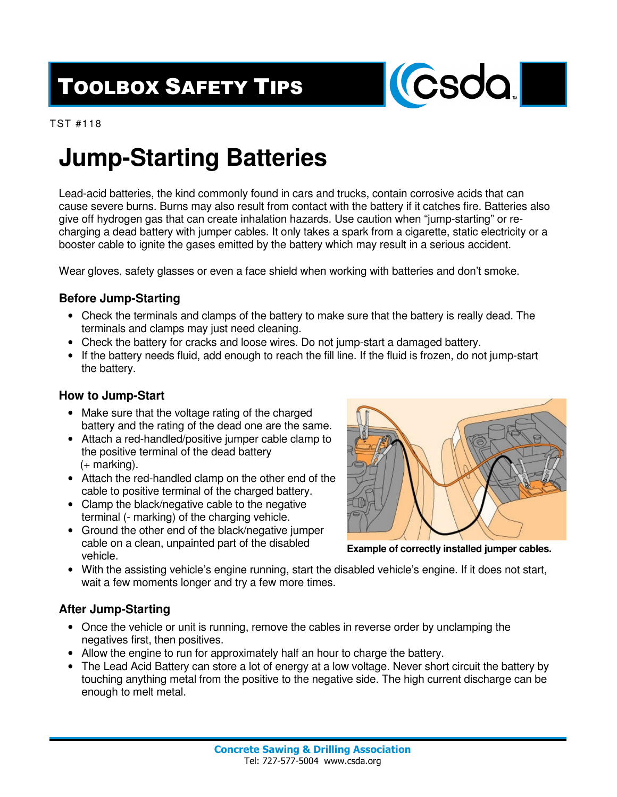# TOOLBOX SAFETY TIPS



TST #118

### **Jump-Starting Batteries**

Lead-acid batteries, the kind commonly found in cars and trucks, contain corrosive acids that can cause severe burns. Burns may also result from contact with the battery if it catches fire. Batteries also give off hydrogen gas that can create inhalation hazards. Use caution when "jump-starting" or recharging a dead battery with jumper cables. It only takes a spark from a cigarette, static electricity or a booster cable to ignite the gases emitted by the battery which may result in a serious accident.

Wear gloves, safety glasses or even a face shield when working with batteries and don't smoke.

### **Before Jump-Starting**

- Check the terminals and clamps of the battery to make sure that the battery is really dead. The terminals and clamps may just need cleaning.
- Check the battery for cracks and loose wires. Do not jump-start a damaged battery.
- If the battery needs fluid, add enough to reach the fill line. If the fluid is frozen, do not jump-start the battery.

### **How to Jump-Start**

- Make sure that the voltage rating of the charged battery and the rating of the dead one are the same.
- Attach a red-handled/positive jumper cable clamp to the positive terminal of the dead battery (+ marking).
- Attach the red-handled clamp on the other end of the cable to positive terminal of the charged battery.
- Clamp the black/negative cable to the negative terminal (- marking) of the charging vehicle.
- Ground the other end of the black/negative jumper cable on a clean, unpainted part of the disabled vehicle.



**Example of correctly installed jumper cables.** 

• With the assisting vehicle's engine running, start the disabled vehicle's engine. If it does not start, wait a few moments longer and try a few more times.

#### **After Jump-Starting**

- Once the vehicle or unit is running, remove the cables in reverse order by unclamping the negatives first, then positives.
- Allow the engine to run for approximately half an hour to charge the battery.
- The Lead Acid Battery can store a lot of energy at a low voltage. Never short circuit the battery by touching anything metal from the positive to the negative side. The high current discharge can be enough to melt metal.